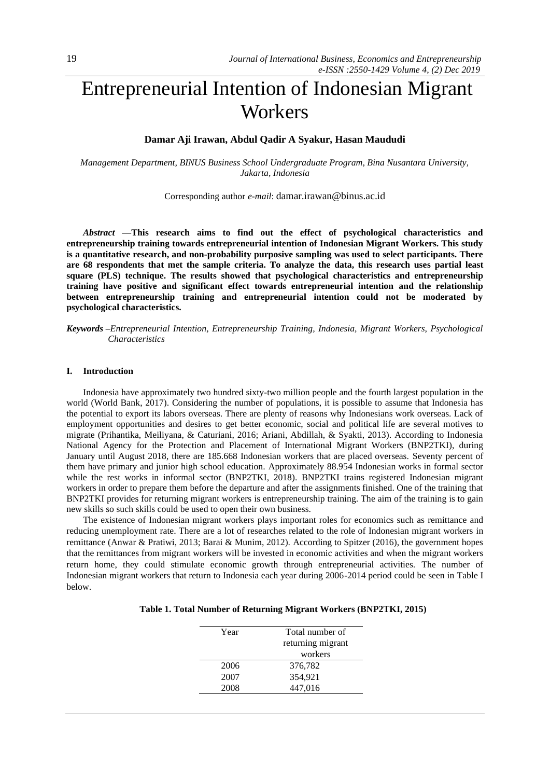# Entrepreneurial Intention of Indonesian Migrant **Workers**

# **Damar Aji Irawan, Abdul Qadir A Syakur, Hasan Maududi**

*Management Department, BINUS Business School Undergraduate Program, Bina Nusantara University, Jakarta, Indonesia*

Corresponding author *e-mail*: damar.irawan@binus.ac.id

*Abstract —***This research aims to find out the effect of psychological characteristics and entrepreneurship training towards entrepreneurial intention of Indonesian Migrant Workers. This study is a quantitative research, and non-probability purposive sampling was used to select participants. There are 68 respondents that met the sample criteria. To analyze the data, this research uses partial least square (PLS) technique. The results showed that psychological characteristics and entrepreneurship training have positive and significant effect towards entrepreneurial intention and the relationship between entrepreneurship training and entrepreneurial intention could not be moderated by psychological characteristics.**

*Keywords –Entrepreneurial Intention, Entrepreneurship Training, Indonesia, Migrant Workers, Psychological Characteristics*

# **I. Introduction**

Indonesia have approximately two hundred sixty-two million people and the fourth largest population in the world (World Bank, 2017). Considering the number of populations, it is possible to assume that Indonesia has the potential to export its labors overseas. There are plenty of reasons why Indonesians work overseas. Lack of employment opportunities and desires to get better economic, social and political life are several motives to migrate (Prihantika, Meiliyana, & Caturiani, 2016; Ariani, Abdillah, & Syakti, 2013). According to Indonesia National Agency for the Protection and Placement of International Migrant Workers (BNP2TKI), during January until August 2018, there are 185.668 Indonesian workers that are placed overseas. Seventy percent of them have primary and junior high school education. Approximately 88.954 Indonesian works in formal sector while the rest works in informal sector (BNP2TKI, 2018). BNP2TKI trains registered Indonesian migrant workers in order to prepare them before the departure and after the assignments finished. One of the training that BNP2TKI provides for returning migrant workers is entrepreneurship training. The aim of the training is to gain new skills so such skills could be used to open their own business.

The existence of Indonesian migrant workers plays important roles for economics such as remittance and reducing unemployment rate. There are a lot of researches related to the role of Indonesian migrant workers in remittance (Anwar & Pratiwi, 2013; Barai & Munim, 2012). According to Spitzer (2016), the government hopes that the remittances from migrant workers will be invested in economic activities and when the migrant workers return home, they could stimulate economic growth through entrepreneurial activities. The number of Indonesian migrant workers that return to Indonesia each year during 2006-2014 period could be seen in Table I below.

| Table 1. Total Number of Returning Migrant Workers (BNP2TKI, 2015) |  |  |  |
|--------------------------------------------------------------------|--|--|--|
|                                                                    |  |  |  |

| Year | Total number of   |  |
|------|-------------------|--|
|      | returning migrant |  |
|      | workers           |  |
| 2006 | 376,782           |  |
| 2007 | 354.921           |  |
| 2008 | 447,016           |  |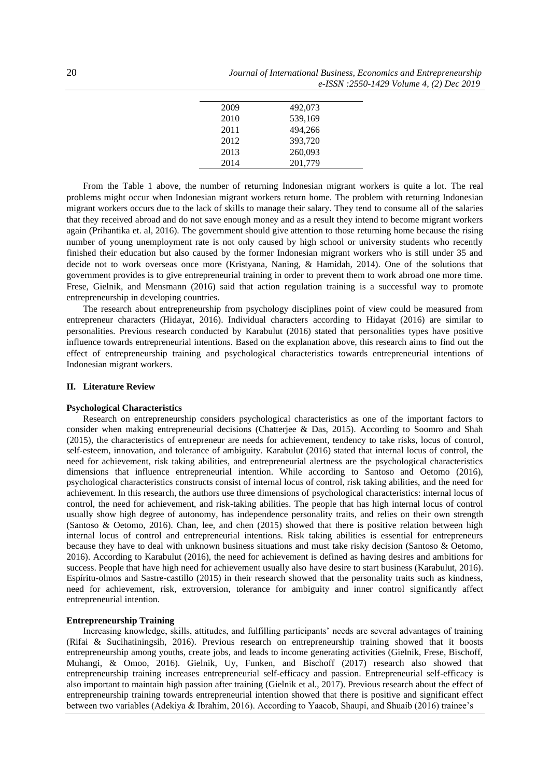| 2009 | 492,073 |
|------|---------|
| 2010 | 539,169 |
| 2011 | 494,266 |
| 2012 | 393,720 |
| 2013 | 260,093 |
| 2014 | 201,779 |

From the Table 1 above, the number of returning Indonesian migrant workers is quite a lot. The real problems might occur when Indonesian migrant workers return home. The problem with returning Indonesian migrant workers occurs due to the lack of skills to manage their salary. They tend to consume all of the salaries that they received abroad and do not save enough money and as a result they intend to become migrant workers again (Prihantika et. al, 2016). The government should give attention to those returning home because the rising number of young unemployment rate is not only caused by high school or university students who recently finished their education but also caused by the former Indonesian migrant workers who is still under 35 and decide not to work overseas once more (Kristyana, Naning, & Hamidah, 2014). One of the solutions that government provides is to give entrepreneurial training in order to prevent them to work abroad one more time. Frese, Gielnik, and Mensmann (2016) said that action regulation training is a successful way to promote entrepreneurship in developing countries.

The research about entrepreneurship from psychology disciplines point of view could be measured from entrepreneur characters (Hidayat, 2016). Individual characters according to Hidayat (2016) are similar to personalities. Previous research conducted by Karabulut (2016) stated that personalities types have positive influence towards entrepreneurial intentions. Based on the explanation above, this research aims to find out the effect of entrepreneurship training and psychological characteristics towards entrepreneurial intentions of Indonesian migrant workers.

#### **II. Literature Review**

### **Psychological Characteristics**

Research on entrepreneurship considers psychological characteristics as one of the important factors to consider when making entrepreneurial decisions (Chatterjee & Das, 2015). According to Soomro and Shah (2015), the characteristics of entrepreneur are needs for achievement, tendency to take risks, locus of control, self-esteem, innovation, and tolerance of ambiguity. Karabulut (2016) stated that internal locus of control, the need for achievement, risk taking abilities, and entrepreneurial alertness are the psychological characteristics dimensions that influence entrepreneurial intention. While according to Santoso and Oetomo (2016), psychological characteristics constructs consist of internal locus of control, risk taking abilities, and the need for achievement. In this research, the authors use three dimensions of psychological characteristics: internal locus of control, the need for achievement, and risk-taking abilities. The people that has high internal locus of control usually show high degree of autonomy, has independence personality traits, and relies on their own strength (Santoso & Oetomo, 2016). Chan, lee, and chen (2015) showed that there is positive relation between high internal locus of control and entrepreneurial intentions. Risk taking abilities is essential for entrepreneurs because they have to deal with unknown business situations and must take risky decision (Santoso & Oetomo, 2016). According to Karabulut (2016), the need for achievement is defined as having desires and ambitions for success. People that have high need for achievement usually also have desire to start business (Karabulut, 2016). Espíritu-olmos and Sastre-castillo (2015) in their research showed that the personality traits such as kindness, need for achievement, risk, extroversion, tolerance for ambiguity and inner control significantly affect entrepreneurial intention.

#### **Entrepreneurship Training**

Increasing knowledge, skills, attitudes, and fulfilling participants' needs are several advantages of training (Rifai & Sucihatiningsih, 2016). Previous research on entrepreneurship training showed that it boosts entrepreneurship among youths, create jobs, and leads to income generating activities (Gielnik, Frese, Bischoff, Muhangi, & Omoo, 2016). Gielnik, Uy, Funken, and Bischoff (2017) research also showed that entrepreneurship training increases entrepreneurial self-efficacy and passion. Entrepreneurial self-efficacy is also important to maintain high passion after training (Gielnik et al*.*, 2017). Previous research about the effect of entrepreneurship training towards entrepreneurial intention showed that there is positive and significant effect between two variables (Adekiya & Ibrahim, 2016). According to Yaacob, Shaupi, and Shuaib (2016) trainee's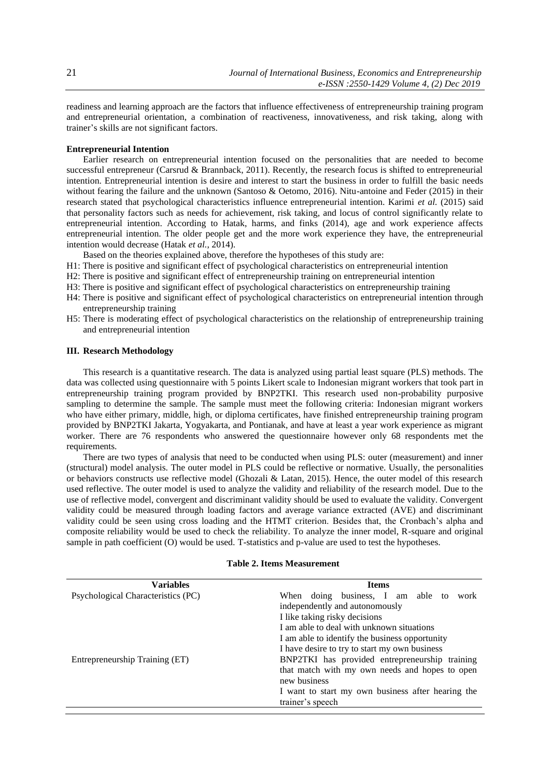readiness and learning approach are the factors that influence effectiveness of entrepreneurship training program and entrepreneurial orientation, a combination of reactiveness, innovativeness, and risk taking, along with trainer's skills are not significant factors.

# **Entrepreneurial Intention**

Earlier research on entrepreneurial intention focused on the personalities that are needed to become successful entrepreneur (Carsrud & Brannback, 2011). Recently, the research focus is shifted to entrepreneurial intention. Entrepreneurial intention is desire and interest to start the business in order to fulfill the basic needs without fearing the failure and the unknown (Santoso & Oetomo, 2016). Nitu-antoine and Feder (2015) in their research stated that psychological characteristics influence entrepreneurial intention. Karimi *et al.* (2015) said that personality factors such as needs for achievement, risk taking, and locus of control significantly relate to entrepreneurial intention. According to Hatak, harms, and finks (2014), age and work experience affects entrepreneurial intention. The older people get and the more work experience they have, the entrepreneurial intention would decrease (Hatak *et al.*, 2014).

- Based on the theories explained above, therefore the hypotheses of this study are:
- H1: There is positive and significant effect of psychological characteristics on entrepreneurial intention
- H2: There is positive and significant effect of entrepreneurship training on entrepreneurial intention
- H3: There is positive and significant effect of psychological characteristics on entrepreneurship training
- H4: There is positive and significant effect of psychological characteristics on entrepreneurial intention through entrepreneurship training
- H5: There is moderating effect of psychological characteristics on the relationship of entrepreneurship training and entrepreneurial intention

#### **III. Research Methodology**

This research is a quantitative research. The data is analyzed using partial least square (PLS) methods. The data was collected using questionnaire with 5 points Likert scale to Indonesian migrant workers that took part in entrepreneurship training program provided by BNP2TKI. This research used non-probability purposive sampling to determine the sample. The sample must meet the following criteria: Indonesian migrant workers who have either primary, middle, high, or diploma certificates, have finished entrepreneurship training program provided by BNP2TKI Jakarta, Yogyakarta, and Pontianak, and have at least a year work experience as migrant worker. There are 76 respondents who answered the questionnaire however only 68 respondents met the requirements.

There are two types of analysis that need to be conducted when using PLS: outer (measurement) and inner (structural) model analysis. The outer model in PLS could be reflective or normative. Usually, the personalities or behaviors constructs use reflective model (Ghozali & Latan, 2015). Hence, the outer model of this research used reflective. The outer model is used to analyze the validity and reliability of the research model. Due to the use of reflective model, convergent and discriminant validity should be used to evaluate the validity. Convergent validity could be measured through loading factors and average variance extracted (AVE) and discriminant validity could be seen using cross loading and the HTMT criterion. Besides that, the Cronbach's alpha and composite reliability would be used to check the reliability. To analyze the inner model, R-square and original sample in path coefficient (O) would be used. T-statistics and p-value are used to test the hypotheses.

#### **Table 2. Items Measurement**

| <b>Variables</b>                   | <b>Items</b>                                      |  |  |  |
|------------------------------------|---------------------------------------------------|--|--|--|
| Psychological Characteristics (PC) | When doing business, I am able to<br>work         |  |  |  |
|                                    | independently and autonomously                    |  |  |  |
|                                    | I like taking risky decisions                     |  |  |  |
|                                    | I am able to deal with unknown situations         |  |  |  |
|                                    | I am able to identify the business opportunity    |  |  |  |
|                                    | I have desire to try to start my own business     |  |  |  |
| Entrepreneurship Training (ET)     | BNP2TKI has provided entrepreneurship training    |  |  |  |
|                                    | that match with my own needs and hopes to open    |  |  |  |
|                                    | new business                                      |  |  |  |
|                                    | I want to start my own business after hearing the |  |  |  |
|                                    | trainer's speech                                  |  |  |  |
|                                    |                                                   |  |  |  |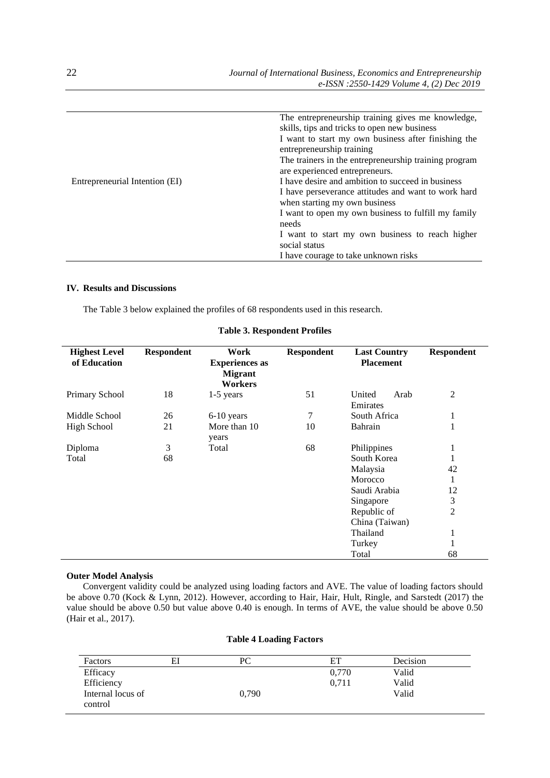|                                | The entrepreneurship training gives me knowledge,     |  |  |
|--------------------------------|-------------------------------------------------------|--|--|
|                                | skills, tips and tricks to open new business          |  |  |
|                                | I want to start my own business after finishing the   |  |  |
|                                | entrepreneurship training                             |  |  |
|                                | The trainers in the entrepreneurship training program |  |  |
|                                | are experienced entrepreneurs.                        |  |  |
| Entrepreneurial Intention (EI) | I have desire and ambition to succeed in business     |  |  |
|                                | I have perseverance attitudes and want to work hard   |  |  |
|                                | when starting my own business                         |  |  |
|                                | I want to open my own business to fulfill my family   |  |  |
|                                | needs                                                 |  |  |
|                                | I want to start my own business to reach higher       |  |  |
|                                | social status                                         |  |  |
|                                | I have courage to take unknown risks                  |  |  |

# **IV. Results and Discussions**

The Table 3 below explained the profiles of 68 respondents used in this research.

| <b>Highest Level</b><br>of Education | <b>Respondent</b> | Work<br><b>Experiences</b> as<br><b>Migrant</b><br><b>Workers</b> | <b>Respondent</b> | <b>Last Country</b><br><b>Placement</b> | <b>Respondent</b> |
|--------------------------------------|-------------------|-------------------------------------------------------------------|-------------------|-----------------------------------------|-------------------|
| Primary School                       | 18                | $1-5$ years                                                       | 51                | United<br>Arab<br>Emirates              | 2                 |
| Middle School                        | 26                | $6-10$ years                                                      | 7                 | South Africa                            | 1                 |
| <b>High School</b>                   | 21                | More than 10<br>years                                             | 10                | Bahrain                                 | 1                 |
| Diploma                              | 3                 | Total                                                             | 68                | Philippines                             | 1                 |
| Total                                | 68                |                                                                   |                   | South Korea                             | 1                 |
|                                      |                   |                                                                   |                   | Malaysia                                | 42                |
|                                      |                   |                                                                   |                   | Morocco                                 | 1                 |
|                                      |                   |                                                                   |                   | Saudi Arabia                            | 12                |
|                                      |                   |                                                                   |                   | Singapore                               | 3                 |
|                                      |                   |                                                                   |                   | Republic of                             | 2                 |
|                                      |                   |                                                                   |                   | China (Taiwan)                          |                   |
|                                      |                   |                                                                   |                   | Thailand                                | 1                 |
|                                      |                   |                                                                   |                   | Turkey                                  | 1                 |
|                                      |                   |                                                                   |                   | Total                                   | 68                |

# **Table 3. Respondent Profiles**

#### **Outer Model Analysis**

Convergent validity could be analyzed using loading factors and AVE. The value of loading factors should be above 0.70 (Kock & Lynn, 2012). However, according to Hair, Hair, Hult, Ringle, and Sarstedt (2017) the value should be above 0.50 but value above 0.40 is enough. In terms of AVE, the value should be above 0.50 (Hair et al., 2017).

# **Table 4 Loading Factors**

| Factors           | EI | PС    | EТ    | Decision |  |
|-------------------|----|-------|-------|----------|--|
| Efficacy          |    |       | 0,770 | Valid    |  |
| Efficiency        |    |       | 0.711 | Valid    |  |
| Internal locus of |    | 0,790 |       | Valid    |  |
| control           |    |       |       |          |  |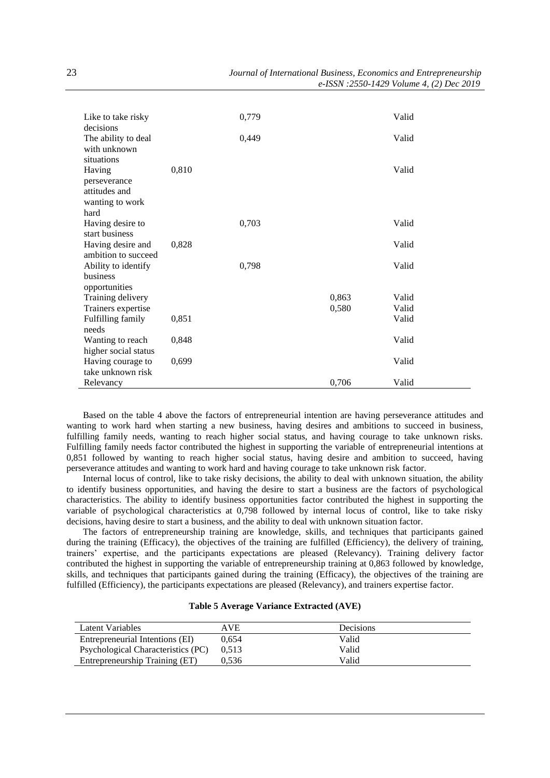| Like to take risky<br>decisions |       | 0,779 |       | Valid |
|---------------------------------|-------|-------|-------|-------|
| The ability to deal             |       | 0,449 |       | Valid |
| with unknown                    |       |       |       |       |
| situations                      |       |       |       |       |
| Having                          | 0,810 |       |       | Valid |
| perseverance<br>attitudes and   |       |       |       |       |
| wanting to work                 |       |       |       |       |
| hard                            |       |       |       |       |
| Having desire to                |       | 0,703 |       | Valid |
| start business                  |       |       |       |       |
| Having desire and               | 0,828 |       |       | Valid |
| ambition to succeed             |       |       |       |       |
| Ability to identify<br>business |       | 0,798 |       | Valid |
| opportunities                   |       |       |       |       |
| Training delivery               |       |       | 0,863 | Valid |
| Trainers expertise              |       |       | 0,580 | Valid |
| Fulfilling family               | 0,851 |       |       | Valid |
| needs                           |       |       |       |       |
| Wanting to reach                | 0,848 |       |       | Valid |
| higher social status            |       |       |       |       |
| Having courage to               | 0,699 |       |       | Valid |
| take unknown risk               |       |       |       |       |
| Relevancy                       |       |       | 0,706 | Valid |

Based on the table 4 above the factors of entrepreneurial intention are having perseverance attitudes and wanting to work hard when starting a new business, having desires and ambitions to succeed in business, fulfilling family needs, wanting to reach higher social status, and having courage to take unknown risks. Fulfilling family needs factor contributed the highest in supporting the variable of entrepreneurial intentions at 0,851 followed by wanting to reach higher social status, having desire and ambition to succeed, having perseverance attitudes and wanting to work hard and having courage to take unknown risk factor.

Internal locus of control, like to take risky decisions, the ability to deal with unknown situation, the ability to identify business opportunities, and having the desire to start a business are the factors of psychological characteristics. The ability to identify business opportunities factor contributed the highest in supporting the variable of psychological characteristics at 0,798 followed by internal locus of control, like to take risky decisions, having desire to start a business, and the ability to deal with unknown situation factor.

The factors of entrepreneurship training are knowledge, skills, and techniques that participants gained during the training (Efficacy), the objectives of the training are fulfilled (Efficiency), the delivery of training, trainers' expertise, and the participants expectations are pleased (Relevancy). Training delivery factor contributed the highest in supporting the variable of entrepreneurship training at 0,863 followed by knowledge, skills, and techniques that participants gained during the training (Efficacy), the objectives of the training are fulfilled (Efficiency), the participants expectations are pleased (Relevancy), and trainers expertise factor.

| Latent Variables                   | AVE   | <b>Decisions</b> |
|------------------------------------|-------|------------------|
| Entrepreneurial Intentions (EI)    | 0.654 | Valid            |
| Psychological Characteristics (PC) | 0.513 | Valid            |
| Entrepreneurship Training (ET)     | 0.536 | Valid            |

#### **Table 5 Average Variance Extracted (AVE)**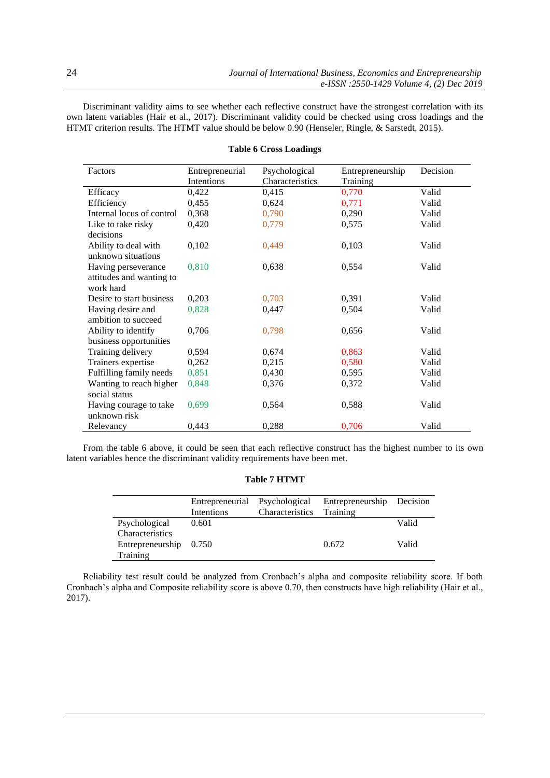Discriminant validity aims to see whether each reflective construct have the strongest correlation with its own latent variables (Hair et al., 2017). Discriminant validity could be checked using cross loadings and the HTMT criterion results. The HTMT value should be below 0.90 (Henseler, Ringle, & Sarstedt, 2015).

| Factors                   | Entrepreneurial<br>Intentions | Psychological<br>Characteristics | Entrepreneurship<br>Training | Decision |
|---------------------------|-------------------------------|----------------------------------|------------------------------|----------|
| Efficacy                  | 0,422                         | 0,415                            | 0,770                        | Valid    |
| Efficiency                | 0,455                         | 0,624                            | 0,771                        | Valid    |
| Internal locus of control | 0,368                         | 0,790                            | 0,290                        | Valid    |
| Like to take risky        | 0,420                         | 0,779                            | 0,575                        | Valid    |
| decisions                 |                               |                                  |                              |          |
| Ability to deal with      | 0,102                         | 0,449                            | 0,103                        | Valid    |
| unknown situations        |                               |                                  |                              |          |
| Having perseverance       | 0,810                         | 0,638                            | 0,554                        | Valid    |
| attitudes and wanting to  |                               |                                  |                              |          |
| work hard                 |                               |                                  |                              |          |
| Desire to start business  | 0,203                         | 0,703                            | 0,391                        | Valid    |
| Having desire and         | 0,828                         | 0,447                            | 0,504                        | Valid    |
| ambition to succeed       |                               |                                  |                              |          |
| Ability to identify       | 0,706                         | 0,798                            | 0,656                        | Valid    |
| business opportunities    |                               |                                  |                              |          |
| Training delivery         | 0,594                         | 0,674                            | 0,863                        | Valid    |
| Trainers expertise        | 0,262                         | 0,215                            | 0,580                        | Valid    |
| Fulfilling family needs   | 0,851                         | 0,430                            | 0,595                        | Valid    |
| Wanting to reach higher   | 0,848                         | 0,376                            | 0,372                        | Valid    |
| social status             |                               |                                  |                              |          |
| Having courage to take    | 0,699                         | 0,564                            | 0,588                        | Valid    |
| unknown risk              |                               |                                  |                              |          |
| Relevancy                 | 0,443                         | 0,288                            | 0,706                        | Valid    |

# **Table 6 Cross Loadings**

From the table 6 above, it could be seen that each reflective construct has the highest number to its own latent variables hence the discriminant validity requirements have been met.

# **Table 7 HTMT**

|                        | Entrepreneurial Psychological<br>Intentions | Characteristics | Entrepreneurship Decision<br>Training |       |
|------------------------|---------------------------------------------|-----------------|---------------------------------------|-------|
| Psychological          | 0.601                                       |                 |                                       | Valid |
| Characteristics        |                                             |                 |                                       |       |
| Entrepreneurship 0.750 |                                             |                 | 0.672                                 | Valid |
| Training               |                                             |                 |                                       |       |

Reliability test result could be analyzed from Cronbach's alpha and composite reliability score. If both Cronbach's alpha and Composite reliability score is above 0.70, then constructs have high reliability (Hair et al., 2017).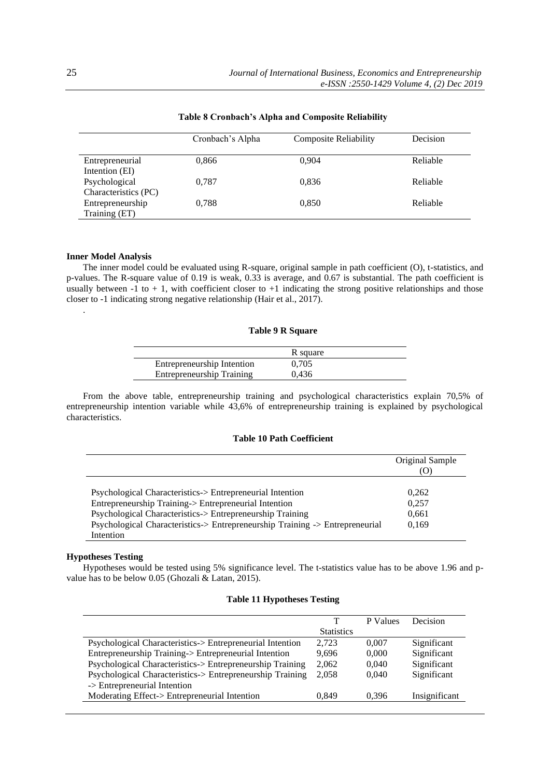|                      | Cronbach's Alpha | <b>Composite Reliability</b> | Decision |
|----------------------|------------------|------------------------------|----------|
| Entrepreneurial      | 0,866            | 0.904                        | Reliable |
| Intention (EI)       |                  |                              |          |
| Psychological        | 0,787            | 0,836                        | Reliable |
| Characteristics (PC) |                  |                              |          |
| Entrepreneurship     | 0.788            | 0,850                        | Reliable |
| Training (ET)        |                  |                              |          |

# **Table 8 Cronbach's Alpha and Composite Reliability**

# **Inner Model Analysis**

.

The inner model could be evaluated using R-square, original sample in path coefficient (O), t-statistics, and p-values. The R-square value of 0.19 is weak, 0.33 is average, and 0.67 is substantial. The path coefficient is usually between  $-1$  to  $+1$ , with coefficient closer to  $+1$  indicating the strong positive relationships and those closer to -1 indicating strong negative relationship (Hair et al., 2017).

### **Table 9 R Square**

|                            | R square |
|----------------------------|----------|
| Entrepreneurship Intention | 0.705    |
| Entrepreneurship Training  | 0.436    |

From the above table, entrepreneurship training and psychological characteristics explain 70,5% of entrepreneurship intention variable while 43,6% of entrepreneurship training is explained by psychological characteristics.

#### **Table 10 Path Coefficient**

|                                                                              | Original Sample<br>w |
|------------------------------------------------------------------------------|----------------------|
|                                                                              |                      |
| Psychological Characteristics-> Entrepreneurial Intention                    | 0.262                |
| Entrepreneurship Training-> Entrepreneurial Intention                        | 0.257                |
| Psychological Characteristics-> Entrepreneurship Training                    | 0,661                |
| Psychological Characteristics-> Entrepreneurship Training -> Entrepreneurial | 0.169                |
| Intention                                                                    |                      |

#### **Hypotheses Testing**

Hypotheses would be tested using 5% significance level. The t-statistics value has to be above 1.96 and pvalue has to be below 0.05 (Ghozali & Latan, 2015).

# **Table 11 Hypotheses Testing**

|                                                           | т                 | P Values | Decision      |
|-----------------------------------------------------------|-------------------|----------|---------------|
|                                                           | <b>Statistics</b> |          |               |
| Psychological Characteristics-> Entrepreneurial Intention | 2.723             | 0.007    | Significant   |
| Entrepreneurship Training-> Entrepreneurial Intention     | 9.696             | 0.000    | Significant   |
| Psychological Characteristics-> Entrepreneurship Training | 2,062             | 0.040    | Significant   |
| Psychological Characteristics-> Entrepreneurship Training | 2,058             | 0.040    | Significant   |
| -> Entrepreneurial Intention                              |                   |          |               |
| Moderating Effect-> Entrepreneurial Intention             | 0.849             | 0.396    | Insignificant |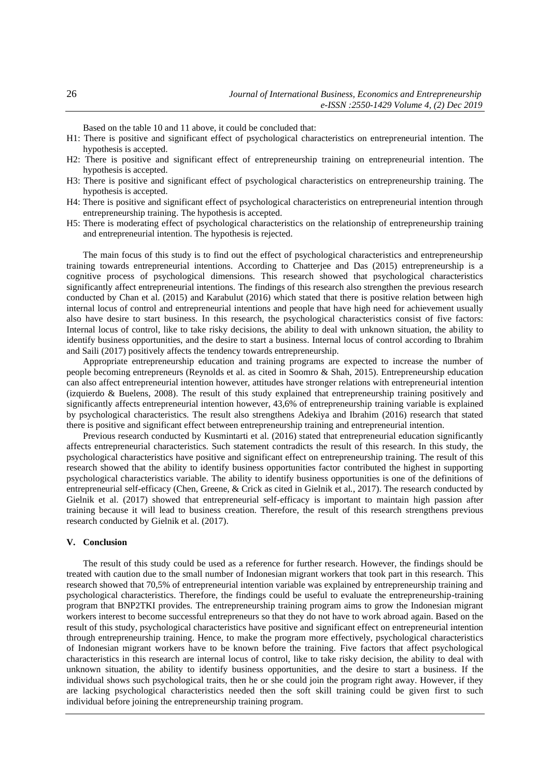Based on the table 10 and 11 above, it could be concluded that:

- H1: There is positive and significant effect of psychological characteristics on entrepreneurial intention. The hypothesis is accepted.
- H2: There is positive and significant effect of entrepreneurship training on entrepreneurial intention. The hypothesis is accepted.
- H3: There is positive and significant effect of psychological characteristics on entrepreneurship training. The hypothesis is accepted.
- H4: There is positive and significant effect of psychological characteristics on entrepreneurial intention through entrepreneurship training. The hypothesis is accepted.
- H5: There is moderating effect of psychological characteristics on the relationship of entrepreneurship training and entrepreneurial intention. The hypothesis is rejected.

The main focus of this study is to find out the effect of psychological characteristics and entrepreneurship training towards entrepreneurial intentions. According to Chatterjee and Das (2015) entrepreneurship is a cognitive process of psychological dimensions. This research showed that psychological characteristics significantly affect entrepreneurial intentions. The findings of this research also strengthen the previous research conducted by Chan et al. (2015) and Karabulut (2016) which stated that there is positive relation between high internal locus of control and entrepreneurial intentions and people that have high need for achievement usually also have desire to start business. In this research, the psychological characteristics consist of five factors: Internal locus of control, like to take risky decisions, the ability to deal with unknown situation, the ability to identify business opportunities, and the desire to start a business. Internal locus of control according to Ibrahim and Saili (2017) positively affects the tendency towards entrepreneurship.

Appropriate entrepreneurship education and training programs are expected to increase the number of people becoming entrepreneurs (Reynolds et al. as cited in Soomro & Shah, 2015). Entrepreneurship education can also affect entrepreneurial intention however, attitudes have stronger relations with entrepreneurial intention (izquierdo & Buelens, 2008). The result of this study explained that entrepreneurship training positively and significantly affects entrepreneurial intention however, 43,6% of entrepreneurship training variable is explained by psychological characteristics. The result also strengthens Adekiya and Ibrahim (2016) research that stated there is positive and significant effect between entrepreneurship training and entrepreneurial intention.

Previous research conducted by Kusmintarti et al. (2016) stated that entrepreneurial education significantly affects entrepreneurial characteristics. Such statement contradicts the result of this research. In this study, the psychological characteristics have positive and significant effect on entrepreneurship training. The result of this research showed that the ability to identify business opportunities factor contributed the highest in supporting psychological characteristics variable. The ability to identify business opportunities is one of the definitions of entrepreneurial self-efficacy (Chen, Greene, & Crick as cited in Gielnik et al*.*, 2017). The research conducted by Gielnik et al. (2017) showed that entrepreneurial self-efficacy is important to maintain high passion after training because it will lead to business creation. Therefore, the result of this research strengthens previous research conducted by Gielnik et al. (2017).

### **V. Conclusion**

The result of this study could be used as a reference for further research. However, the findings should be treated with caution due to the small number of Indonesian migrant workers that took part in this research. This research showed that 70,5% of entrepreneurial intention variable was explained by entrepreneurship training and psychological characteristics. Therefore, the findings could be useful to evaluate the entrepreneurship-training program that BNP2TKI provides. The entrepreneurship training program aims to grow the Indonesian migrant workers interest to become successful entrepreneurs so that they do not have to work abroad again. Based on the result of this study, psychological characteristics have positive and significant effect on entrepreneurial intention through entrepreneurship training. Hence, to make the program more effectively, psychological characteristics of Indonesian migrant workers have to be known before the training. Five factors that affect psychological characteristics in this research are internal locus of control, like to take risky decision, the ability to deal with unknown situation, the ability to identify business opportunities, and the desire to start a business. If the individual shows such psychological traits, then he or she could join the program right away. However, if they are lacking psychological characteristics needed then the soft skill training could be given first to such individual before joining the entrepreneurship training program.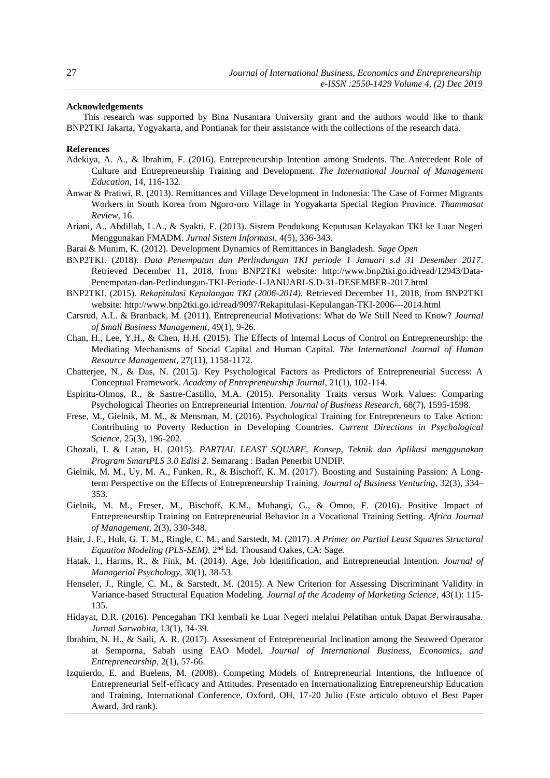#### **Acknowledgements**

This research was supported by Bina Nusantara University grant and the authors would like to thank BNP2TKI Jakarta, Yogyakarta, and Pontianak for their assistance with the collections of the research data.

#### **References**

- Adekiya, A. A., & Ibrahim, F. (2016). Entrepreneurship Intention among Students. The Antecedent Role of Culture and Entrepreneurship Training and Development. *The International Journal of Management Education*, 14, 116-132.
- Anwar & Pratiwi, R. (2013). Remittances and Village Development in Indonesia: The Case of Former Migrants Workers in South Korea from Ngoro-oro Village in Yogyakarta Special Region Province. *Thammasat Review*, 16.
- Ariani, A., Abdillah, L.A., & Syakti, F. (2013). Sistem Pendukung Keputusan Kelayakan TKI ke Luar Negeri Menggunakan FMADM. *Jurnal Sistem Informasi*, 4(5), 336-343.
- Barai & Munim, K. (2012). Development Dynamics of Remittances in Bangladesh. *Sage Open*
- BNP2TKI. (2018). *Data Penempatan dan Perlindungan TKI periode 1 Januari s.d 31 Desember 2017*. Retrieved December 11, 2018, from BNP2TKI website: [http://www.bnp2tki.go.id/read/12943/Data-](http://www.bnp2tki.go.id/read/12943/Data-Penempatan-dan-Perlindungan-TKI-Periode-1-JANUARI-S.D-31-DESEMBER-2017.html)[Penempatan-dan-Perlindungan-TKI-Periode-1-JANUARI-S.D-31-DESEMBER-2017.html](http://www.bnp2tki.go.id/read/12943/Data-Penempatan-dan-Perlindungan-TKI-Periode-1-JANUARI-S.D-31-DESEMBER-2017.html)
- BNP2TKI. (2015). *Rekapitulasi Kepulangan TKI (2006-2014).* Retrieved December 11, 2018, from BNP2TKI website: <http://www.bnp2tki.go.id/read/9097/Rekapitulasi-Kepulangan-TKI-2006---2014.html>
- Carsrud, A.L. & Branback, M. (2011). Entrepreneurial Motivations: What do We Still Need to Know? *Journal of Small Business Management*, 49(1), 9-26.
- Chan, H., Lee, Y.H., & Chen, H.H. (2015). The Effects of Internal Locus of Control on Entrepreneurship: the Mediating Mechanisms of Social Capital and Human Capital. *The International Journal of Human Resource Management*, 27(11), 1158-1172.
- Chatterjee, N., & Das, N. (2015). Key Psychological Factors as Predictors of Entrepreneurial Success: A Conceptual Framework. *Academy of Entrepreneurship Journal*, 21(1), 102-114.
- Espíritu-Olmos, R., & Sastre-Castillo, M.A. (2015). Personality Traits versus Work Values: Comparing Psychological Theories on Entrepreneurial Intention. *Journal of Business Research*, 68(7), 1595-1598.
- Frese, M., Gielnik, M. M., & Mensman, M. (2016). Psychological Training for Entrepreneurs to Take Action: Contributing to Poverty Reduction in Developing Countries. *Current Directions in Psychological Science*, 25(3), 196-202.
- Ghozali, I. & Latan, H. (2015). *PARTIAL LEAST SQUARE, Konsep, Teknik dan Aplikasi menggunakan Program SmartPLS 3.0 Edisi 2*. Semarang : Badan Penerbit UNDIP.
- Gielnik, M. M., Uy, M. A., Funken, R., & Bischoff, K. M. (2017). Boosting and Sustaining Passion: A Longterm Perspective on the Effects of Entrepreneurship Training. *Journal of Business Venturing*, 32(3), 334– 353.
- Gielnik, M. M., Freser, M., Bischoff, K.M., Muhangi, G., & Omoo, F. (2016). Positive Impact of Entrepreneurship Training on Entrepreneurial Behavior in a Vocational Training Setting. *Africa Journal of Management,* 2(3), 330-348.
- Hair, J. F., Hult, G. T. M., Ringle, C. M., and Sarstedt, M. (2017). *[A Primer on Partial Least Squares Structural](http://www.pls-sem.com/)*  [Equation Modeling \(PLS-SEM\).](http://www.pls-sem.com/) 2<sup>nd</sup> Ed. Thousand Oakes, CA: Sage.
- Hatak, I., Harms, R., & Fink, M. (2014). Age, Job Identification, and Entrepreneurial Intention. *Journal of Managerial Psychology*, 30(1), 38-53.
- Henseler, J., Ringle, C. M., & Sarstedt, M. (2015). [A New Criterion for Assessing](http://dx.doi.org/10.1007/s11747-014-0403-8) Discriminant Validity in [Variance-based Structural Equation Modeling.](http://dx.doi.org/10.1007/s11747-014-0403-8) *Journal of the Academy of Marketing Science*, 43(1): 115- 135.
- Hidayat, D.R. (2016). Pencegahan TKI kembali ke Luar Negeri melalui Pelatihan untuk Dapat Berwirausaha. *Jurnal Sarwahita,* 13(1), 34-39.
- Ibrahim, N. H., & Saili, A. R. (2017). Assessment of Entrepreneurial Inclination among the Seaweed Operator at Semporna, Sabah using EAO Model. *Journal of International Business, Economics, and Entrepreneurship*, 2(1), 57-66.
- Izquierdo, E. and Buelens, M. (2008). Competing Models of Entrepreneurial Intentions, the Influence of Entrepreneurial Self-efficacy and Attitudes. Presentado en Internationalizing Entrepreneurship Education and Training, International Conference, Oxford, OH, 17-20 Julio (Este artículo obtuvo el Best Paper Award, 3rd rank).